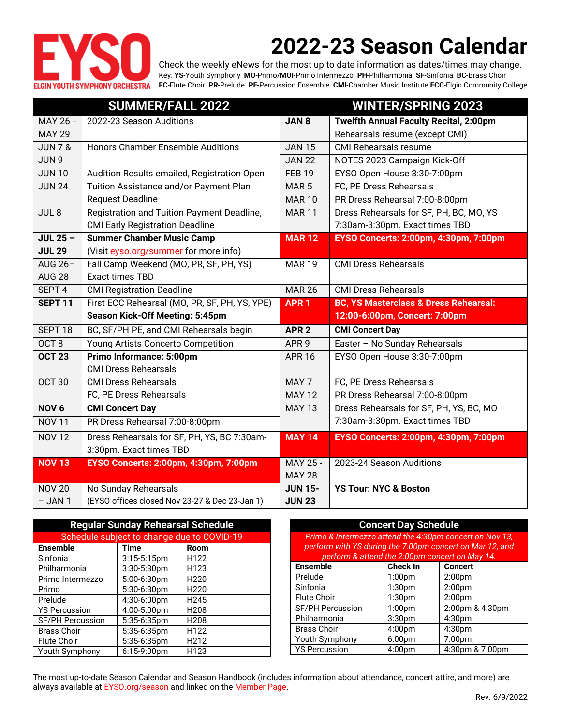

# **2022-23 Season Calendar**

Check the weekly eNews for the most up to date information as dates/times may change. Key: **YS**-Youth Symphony **MO**-Primo/**MOI**-Primo Intermezzo **PH**-Philharmonia **SF**-Sinfonia **BC**-Brass Choir **FC**-Flute Choir **PR**-Prelude **PE**-Percussion Ensemble **CMI**-Chamber Music Institute **ECC**-Elgin Community College

|                            | <b>SUMMER/FALL 2022</b>                                                |                                 | <b>WINTER/SPRING 2023</b>                        |
|----------------------------|------------------------------------------------------------------------|---------------------------------|--------------------------------------------------|
| $\overline{$ MAY 26 -      | 2022-23 Season Auditions                                               | JAN <sub>8</sub>                | <b>Twelfth Annual Faculty Recital, 2:00pm</b>    |
| <b>MAY 29</b>              |                                                                        |                                 | Rehearsals resume (except CMI)                   |
| <b>JUN 7 &amp;</b>         | Honors Chamber Ensemble Auditions                                      | <b>JAN 15</b>                   | <b>CMI</b> Rehearsals resume                     |
| JUN <sub>9</sub>           |                                                                        | <b>JAN 22</b>                   | NOTES 2023 Campaign Kick-Off                     |
| <b>JUN 10</b>              | Audition Results emailed, Registration Open                            | <b>FEB 19</b>                   | EYSO Open House 3:30-7:00pm                      |
| <b>JUN 24</b>              | Tuition Assistance and/or Payment Plan                                 | MAR <sub>5</sub>                | FC, PE Dress Rehearsals                          |
|                            | <b>Request Deadline</b>                                                | <b>MAR10</b>                    | PR Dress Rehearsal 7:00-8:00pm                   |
| JUL <sub>8</sub>           | Registration and Tuition Payment Deadline,                             | <b>MAR11</b>                    | Dress Rehearsals for SF, PH, BC, MO, YS          |
|                            | <b>CMI Early Registration Deadline</b>                                 |                                 | 7:30am-3:30pm. Exact times TBD                   |
| $JUL$ 25 $-$               | <b>Summer Chamber Music Camp</b>                                       | <b>MAR 12</b>                   | EYSO Concerts: 2:00pm, 4:30pm, 7:00pm            |
| <b>JUL 29</b>              | (Visit eyso.org/summer for more info)                                  |                                 |                                                  |
| AUG $26-$                  | Fall Camp Weekend (MO, PR, SF, PH, YS)                                 | <b>MAR 19</b>                   | <b>CMI Dress Rehearsals</b>                      |
| <b>AUG 28</b>              | <b>Exact times TBD</b>                                                 |                                 |                                                  |
| SEPT <sub>4</sub>          | <b>CMI Registration Deadline</b>                                       | <b>MAR 26</b>                   | <b>CMI Dress Rehearsals</b>                      |
| <b>SEPT 11</b>             | First ECC Rehearsal (MO, PR, SF, PH, YS, YPE)                          | <b>APR1</b>                     | <b>BC, YS Masterclass &amp; Dress Rehearsal:</b> |
|                            | <b>Season Kick-Off Meeting: 5:45pm</b>                                 |                                 | 12:00-6:00pm, Concert: 7:00pm                    |
| SEPT <sub>18</sub>         | BC, SF/PH PE, and CMI Rehearsals begin                                 | APR <sub>2</sub>                | <b>CMI Concert Day</b>                           |
| OCT <sub>8</sub>           | Young Artists Concerto Competition                                     | APR <sub>9</sub>                | Easter - No Sunday Rehearsals                    |
| <b>OCT 23</b>              | Primo Informance: 5:00pm                                               | <b>APR 16</b>                   | EYSO Open House 3:30-7:00pm                      |
|                            | <b>CMI Dress Rehearsals</b>                                            |                                 |                                                  |
| <b>OCT 30</b>              | <b>CMI Dress Rehearsals</b>                                            | MAY <sub>7</sub>                | FC, PE Dress Rehearsals                          |
|                            | FC, PE Dress Rehearsals                                                | <b>MAY 12</b>                   | PR Dress Rehearsal 7:00-8:00pm                   |
| NOV <sub>6</sub>           | <b>CMI Concert Day</b>                                                 | <b>MAY 13</b>                   | Dress Rehearsals for SF, PH, YS, BC, MO          |
| <b>NOV 11</b>              | PR Dress Rehearsal 7:00-8:00pm                                         |                                 | 7:30am-3:30pm. Exact times TBD                   |
| <b>NOV 12</b>              | Dress Rehearsals for SF, PH, YS, BC 7:30am-                            | <b>MAY 14</b>                   | EYSO Concerts: 2:00pm, 4:30pm, 7:00pm            |
|                            | 3:30pm. Exact times TBD                                                |                                 |                                                  |
| <b>NOV 13</b>              | EYSO Concerts: 2:00pm, 4:30pm, 7:00pm                                  | MAY 25 -                        | 2023-24 Season Auditions                         |
|                            |                                                                        | <b>MAY 28</b>                   |                                                  |
|                            |                                                                        |                                 |                                                  |
| <b>NOV 20</b><br>$-$ JAN 1 | No Sunday Rehearsals<br>(EYSO offices closed Nov 23-27 & Dec 23-Jan 1) | <b>JUN 15-</b><br><b>JUN 23</b> | <b>YS Tour: NYC &amp; Boston</b>                 |

| <b>Regular Sunday Rehearsal Schedule</b>   |                |                  |  |  |  |  |
|--------------------------------------------|----------------|------------------|--|--|--|--|
| Schedule subject to change due to COVID-19 |                |                  |  |  |  |  |
| <b>Ensemble</b>                            | Time           | Room             |  |  |  |  |
| Sinfonia                                   | $3:15-5:15$ pm | H122             |  |  |  |  |
| Philharmonia                               | 3:30-5:30pm    | H123             |  |  |  |  |
| Primo Intermezzo                           | 5:00-6:30pm    | H <sub>220</sub> |  |  |  |  |
| Primo                                      | 5:30-6:30pm    | H <sub>220</sub> |  |  |  |  |
| Prelude                                    | 4:30-6:00pm    | H <sub>245</sub> |  |  |  |  |
| <b>YS Percussion</b>                       | 4:00-5:00pm    | H <sub>208</sub> |  |  |  |  |
| <b>SF/PH Percussion</b>                    | 5:35-6:35pm    | H <sub>208</sub> |  |  |  |  |
| <b>Brass Choir</b>                         | 5:35-6:35pm    | H122             |  |  |  |  |
| <b>Flute Choir</b>                         | 5:35-6:35pm    | H212             |  |  |  |  |
| Youth Symphony                             | 6:15-9:00pm    | H123             |  |  |  |  |

| <b>Concert Day Schedule</b>                              |                    |                    |  |  |  |  |  |
|----------------------------------------------------------|--------------------|--------------------|--|--|--|--|--|
| Primo & Intermezzo attend the 4:30pm concert on Nov 13,  |                    |                    |  |  |  |  |  |
| perform with YS during the 7:00pm concert on Mar 12, and |                    |                    |  |  |  |  |  |
| perform & attend the 2:00pm concert on May 14.           |                    |                    |  |  |  |  |  |
| <b>Ensemble</b>                                          | <b>Check In</b>    | <b>Concert</b>     |  |  |  |  |  |
| Prelude                                                  | 1:00 <sub>pm</sub> | 2:00 <sub>pm</sub> |  |  |  |  |  |
| Sinfonia                                                 | 1:30 <sub>pm</sub> | 2:00 <sub>pm</sub> |  |  |  |  |  |
| <b>Flute Choir</b>                                       | 1:30 <sub>pm</sub> | 2:00 <sub>pm</sub> |  |  |  |  |  |
| <b>SF/PH Percussion</b>                                  | 1:00 <sub>pm</sub> | 2:00pm & 4:30pm    |  |  |  |  |  |
| Philharmonia                                             | 3:30 <sub>pm</sub> | 4:30 <sub>pm</sub> |  |  |  |  |  |
| <b>Brass Choir</b>                                       | 4:00 <sub>pm</sub> | 4:30 <sub>pm</sub> |  |  |  |  |  |
| Youth Symphony                                           | 6:00 <sub>pm</sub> | 7:00 <sub>pm</sub> |  |  |  |  |  |
| <b>YS Percussion</b>                                     | 4:00pm             | 4:30pm & 7:00pm    |  |  |  |  |  |

The most up-to-date Season Calendar and Season Handbook (includes information about attendance, concert attire, and more) are always available at **EYSO.org/season** and linked on the **Member Page**.